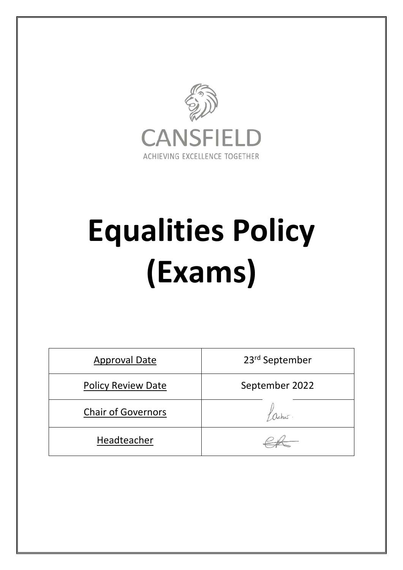

# **Equalities Policy (Exams)**

| <b>Approval Date</b>      | 23rd September |
|---------------------------|----------------|
| <b>Policy Review Date</b> | September 2022 |
| <b>Chair of Governors</b> |                |
| Headteacher               |                |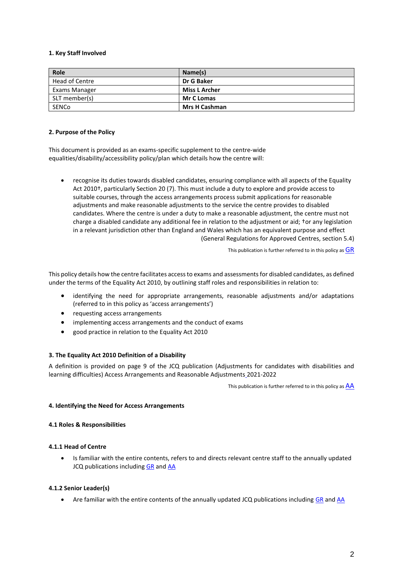## **1. Key Staff Involved**

| Role           | Name(s)              |
|----------------|----------------------|
| Head of Centre | Dr G Baker           |
| Exams Manager  | <b>Miss L Archer</b> |
| SLT member(s)  | <b>Mr C Lomas</b>    |
| SENCo          | <b>Mrs H Cashman</b> |

#### **2. Purpose of the Policy**

This document is provided as an exams-specific supplement to the centre-wide equalities/disability/accessibility policy/plan which details how the centre will:

 recognise its duties towards disabled candidates, ensuring compliance with all aspects of the Equality Act 2010†, particularly Section 20 (7). This must include a duty to explore and provide access to suitable courses, through the access arrangements process submit applications for reasonable adjustments and make reasonable adjustments to the service the centre provides to disabled candidates. Where the centre is under a duty to make a reasonable adjustment, the centre must not charge a disabled candidate any additional fee in relation to the adjustment or aid; †or any legislation in a relevant jurisdiction other than England and Wales which has an equivalent purpose and effect (General Regulations for Approved Centres, section 5.4)

This publication is further referred to in this policy as  $GR$ 

This policy details how the centre facilitates access to exams and assessments for disabled candidates, as defined under the terms of the Equality Act 2010, by outlining staff roles and responsibilities in relation to:

- identifying the need for appropriate arrangements, reasonable adjustments and/or adaptations (referred to in this policy as 'access arrangements')
- requesting access arrangements
- implementing access arrangements and the conduct of exams
- good practice in relation to the Equality Act 2010

## **3. The Equality Act 2010 Definition of a Disability**

A definition is provided on page 9 of the JCQ publication (Adjustments for candidates with disabilities and learning difficulties) Access Arrangements and Reasonable Adjustments 2021-2022

This publication is further referred to in this policy as  $\overline{AA}$  $\overline{AA}$  $\overline{AA}$ 

## **4. Identifying the Need for Access Arrangements**

## **4.1 Roles & Responsibilities**

## **4.1.1 Head of Centre**

 Is familiar with the entire contents, refers to and directs relevant centre staff to the annually updated JCQ publications including [GR](http://www.jcq.org.uk/exams-office/general-regulations) and [AA](http://www.jcq.org.uk/exams-office/access-arrangements-and-special-consideration/regulations-and-guidance)

## **4.1.2 Senior Leader(s)**

• Are familiar with the entire contents of the annually updated JCQ publications including [GR](http://www.jcq.org.uk/exams-office/general-regulations) and [AA](http://www.jcq.org.uk/exams-office/access-arrangements-and-special-consideration/regulations-and-guidance)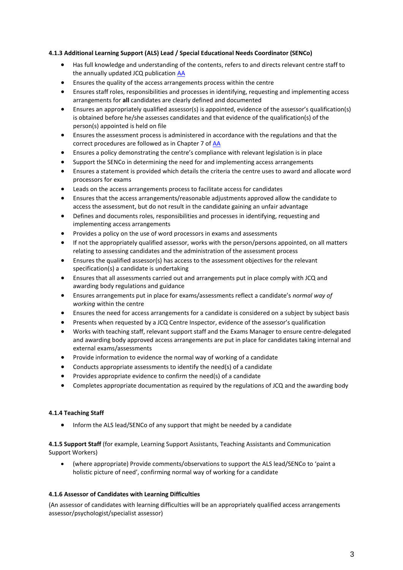# **4.1.3 Additional Learning Support (ALS) Lead / Special Educational Needs Coordinator (SENCo)**

- Has full knowledge and understanding of the contents, refers to and directs relevant centre staff to the annually updated JCQ publication [AA](http://www.jcq.org.uk/exams-office/access-arrangements-and-special-consideration/regulations-and-guidance)
- Ensures the quality of the access arrangements process within the centre
- Ensures staff roles, responsibilities and processes in identifying, requesting and implementing access arrangements for **all** candidates are clearly defined and documented
- Ensures an appropriately qualified assessor(s) is appointed, evidence of the assessor's qualification(s) is obtained before he/she assesses candidates and that evidence of the qualification(s) of the person(s) appointed is held on file
- Ensures the assessment process is administered in accordance with the regulations and that the correct procedures are followed as in Chapter 7 of [AA](http://www.jcq.org.uk/exams-office/access-arrangements-and-special-consideration/regulations-and-guidance)
- Ensures a policy demonstrating the centre's compliance with relevant legislation is in place
- Support the SENCo in determining the need for and implementing access arrangements
- Ensures a statement is provided which details the criteria the centre uses to award and allocate word processors for exams
- Leads on the access arrangements process to facilitate access for candidates
- Ensures that the access arrangements/reasonable adjustments approved allow the candidate to access the assessment, but do not result in the candidate gaining an unfair advantage
- Defines and documents roles, responsibilities and processes in identifying, requesting and implementing access arrangements
- Provides a policy on the use of word processors in exams and assessments
- If not the appropriately qualified assessor, works with the person/persons appointed, on all matters relating to assessing candidates and the administration of the assessment process
- Ensures the qualified assessor(s) has access to the assessment objectives for the relevant specification(s) a candidate is undertaking
- Ensures that all assessments carried out and arrangements put in place comply with JCQ and awarding body regulations and guidance
- Ensures arrangements put in place for exams/assessments reflect a candidate's *normal way of working* within the centre
- Ensures the need for access arrangements for a candidate is considered on a subject by subject basis
- Presents when requested by a JCQ Centre Inspector, evidence of the assessor's qualification
- Works with teaching staff, relevant support staff and the Exams Manager to ensure centre-delegated and awarding body approved access arrangements are put in place for candidates taking internal and external exams/assessments
- Provide information to evidence the normal way of working of a candidate
- Conducts appropriate assessments to identify the need(s) of a candidate
- Provides appropriate evidence to confirm the need(s) of a candidate
- Completes appropriate documentation as required by the regulations of JCQ and the awarding body

# **4.1.4 Teaching Staff**

• Inform the ALS lead/SENCo of any support that might be needed by a candidate

**4.1.5 Support Staff** (for example, Learning Support Assistants, Teaching Assistants and Communication Support Workers)

 (where appropriate) Provide comments/observations to support the ALS lead/SENCo to 'paint a holistic picture of need', confirming normal way of working for a candidate

## **4.1.6 Assessor of Candidates with Learning Difficulties**

(An assessor of candidates with learning difficulties will be an appropriately qualified access arrangements assessor/psychologist/specialist assessor)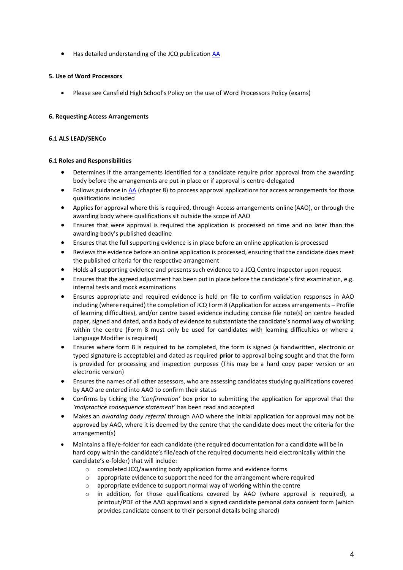● Has detailed understanding of the JCQ publication **AA** 

## **5. Use of Word Processors**

Please see Cansfield High School's Policy on the use of Word Processors Policy (exams)

# **6. Requesting Access Arrangements**

## **6.1 ALS LEAD/SENCo**

## **6.1 Roles and Responsibilities**

- Determines if the arrangements identified for a candidate require prior approval from the awarding body before the arrangements are put in place or if approval is centre-delegated
- Follows guidance in [AA](http://www.jcq.org.uk/exams-office/access-arrangements-and-special-consideration) (chapter 8) to process approval applications for access arrangements for those qualifications included
- Applies for approval where this is required, through Access arrangements online (AAO), or through the awarding body where qualifications sit outside the scope of AAO
- Ensures that were approval is required the application is processed on time and no later than the awarding body's published deadline
- Ensures that the full supporting evidence is in place before an online application is processed
- Reviews the evidence before an online application is processed, ensuring that the candidate does meet the published criteria for the respective arrangement
- Holds all supporting evidence and presents such evidence to a JCQ Centre Inspector upon request
- Ensures that the agreed adjustment has been put in place before the candidate's first examination, e.g. internal tests and mock examinations
- Ensures appropriate and required evidence is held on file to confirm validation responses in AAO including (where required) the completion of JCQ Form 8 (Application for access arrangements – Profile of learning difficulties), and/or centre based evidence including concise file note(s) on centre headed paper, signed and dated, and a body of evidence to substantiate the candidate's normal way of working within the centre (Form 8 must only be used for candidates with learning difficulties or where a Language Modifier is required)
- Ensures where form 8 is required to be completed, the form is signed (a handwritten, electronic or typed signature is acceptable) and dated as required **prior** to approval being sought and that the form is provided for processing and inspection purposes (This may be a hard copy paper version or an electronic version)
- Ensures the names of all other assessors, who are assessing candidates studying qualifications covered by AAO are entered into AAO to confirm their status
- Confirms by ticking the *'Confirmation'* box prior to submitting the application for approval that the *'malpractice consequence statement'* has been read and accepted
- Makes an *awarding body referral* through AAO where the initial application for approval may not be approved by AAO, where it is deemed by the centre that the candidate does meet the criteria for the arrangement(s)
- Maintains a file/e-folder for each candidate (the required documentation for a candidate will be in hard copy within the candidate's file/each of the required documents held electronically within the candidate's e-folder) that will include:
	- o completed JCQ/awarding body application forms and evidence forms
	- o appropriate evidence to support the need for the arrangement where required
	- appropriate evidence to support normal way of working within the centre
	- in addition, for those qualifications covered by AAO (where approval is required), a printout/PDF of the AAO approval and a signed candidate personal data consent form (which provides candidate consent to their personal details being shared)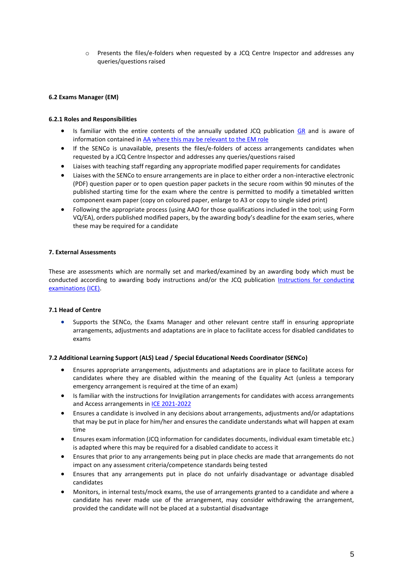o Presents the files/e-folders when requested by a JCQ Centre Inspector and addresses any queries/questions raised

## **6.2 Exams Manager (EM)**

## **6.2.1 Roles and Responsibilities**

- Is familiar with the entire contents of the annually updated JCQ publication [GR](http://www.jcq.org.uk/exams-office/general-regulations) and is aware of information contained in [AA](http://www.jcq.org.uk/exams-office/access-arrangements-and-special-consideration/regulations-and-guidance) where this may be relevant to the EM role
- If the SENCo is unavailable, presents the files/e-folders of access arrangements candidates when requested by a JCQ Centre Inspector and addresses any queries/questions raised
- Liaises with teaching staff regarding any appropriate modified paper requirements for candidates
- Liaises with the SENCo to ensure arrangements are in place to either order a non-interactive electronic (PDF) question paper or to open question paper packets in the secure room within 90 minutes of the published starting time for the exam where the centre is permitted to modify a timetabled written component exam paper (copy on coloured paper, enlarge to A3 or copy to single sided print)
- Following the appropriate process (using AAO for those qualifications included in the tool; using Form VQ/EA), orders published modified papers, by the awarding body's deadline for the exam series, where these may be required for a candidate

## **7. External Assessments**

These are assessments which are normally set and marked/examined by an awarding body which must be conducted according to awarding body instructions and/or the JCQ publication Instructions for conducting [examinations](http://www.jcq.org.uk/exams-office/ice---instructions-for-conducting-examinations) (ICE).

# **7.1 Head of Centre**

 Supports the SENCo, the Exams Manager and other relevant centre staff in ensuring appropriate arrangements, adjustments and adaptations are in place to facilitate access for disabled candidates to exams

## **7.2 Additional Learning Support (ALS) Lead / Special Educational Needs Coordinator (SENCo)**

- Ensures appropriate arrangements, adjustments and adaptations are in place to facilitate access for candidates where they are disabled within the meaning of the Equality Act (unless a temporary emergency arrangement is required at the time of an exam)
- Is familiar with the instructions for Invigilation arrangements for candidates with access arrangements and Access arrangements in [ICE](http://www.jcq.org.uk/exams-office/ice---instructions-for-conducting-examinations) 2021-2022
- Ensures a candidate is involved in any decisions about arrangements, adjustments and/or adaptations that may be put in place for him/her and ensures the candidate understands what will happen at exam time
- Ensures exam information (JCQ information for candidates documents, individual exam timetable etc.) is adapted where this may be required for a disabled candidate to access it
- Ensures that prior to any arrangements being put in place checks are made that arrangements do not impact on any assessment criteria/competence standards being tested
- Ensures that any arrangements put in place do not unfairly disadvantage or advantage disabled candidates
- Monitors, in internal tests/mock exams, the use of arrangements granted to a candidate and where a candidate has never made use of the arrangement, may consider withdrawing the arrangement, provided the candidate will not be placed at a substantial disadvantage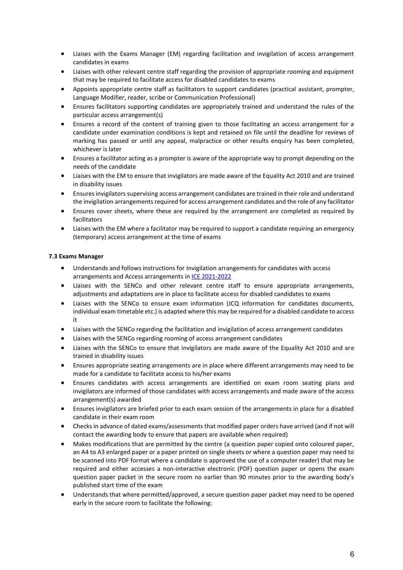- Liaises with the Exams Manager (EM) regarding facilitation and invigilation of access arrangement candidates in exams
- Liaises with other relevant centre staff regarding the provision of appropriate rooming and equipment that may be required to facilitate access for disabled candidates to exams
- Appoints appropriate centre staff as facilitators to support candidates (practical assistant, prompter, Language Modifier, reader, scribe or Communication Professional)
- Ensures facilitators supporting candidates are appropriately trained and understand the rules of the particular access arrangement(s)
- Ensures a record of the content of training given to those facilitating an access arrangement for a candidate under examination conditions is kept and retained on file until the deadline for reviews of marking has passed or until any appeal, malpractice or other results enquiry has been completed, whichever is later
- Ensures a facilitator acting as a prompter is aware of the appropriate way to prompt depending on the needs of the candidate
- Liaises with the EM to ensure that invigilators are made aware of the Equality Act 2010 and are trained in disability issues
- Ensures invigilators supervising access arrangement candidates are trained in their role and understand the invigilation arrangements required for access arrangement candidates and the role of any facilitator
- Ensures cover sheets, where these are required by the arrangement are completed as required by facilitators
- Liaises with the EM where a facilitator may be required to support a candidate requiring an emergency (temporary) access arrangement at the time of exams

## **7.3 Exams Manager**

- Understands and follows instructions for Invigilation arrangements for candidates with access arrangements and Access arrangements in [ICE](http://www.jcq.org.uk/exams-office/ice---instructions-for-conducting-examinations) 2021-2022
- Liaises with the SENCo and other relevant centre staff to ensure appropriate arrangements, adjustments and adaptations are in place to facilitate access for disabled candidates to exams
- Liaises with the SENCo to ensure exam information (JCQ information for candidates documents, individual exam timetable etc.) is adapted where this may be required for a disabled candidate to access it
- Liaises with the SENCo regarding the facilitation and invigilation of access arrangement candidates
- Liaises with the SENCo regarding rooming of access arrangement candidates
- Liaises with the SENCo to ensure that invigilators are made aware of the Equality Act 2010 and are trained in disability issues
- Ensures appropriate seating arrangements are in place where different arrangements may need to be made for a candidate to facilitate access to his/her exams
- Ensures candidates with access arrangements are identified on exam room seating plans and invigilators are informed of those candidates with access arrangements and made aware of the access arrangement(s) awarded
- Ensures invigilators are briefed prior to each exam session of the arrangements in place for a disabled candidate in their exam room
- Checks in advance of dated exams/assessments that modified paper orders have arrived (and if not will contact the awarding body to ensure that papers are available when required)
- Makes modifications that are permitted by the centre (a question paper copied onto coloured paper, an A4 to A3 enlarged paper or a paper printed on single sheets or where a question paper may need to be scanned into PDF format where a candidate is approved the use of a computer reader) that may be required and either accesses a non-interactive electronic (PDF) question paper or opens the exam question paper packet in the secure room no earlier than 90 minutes prior to the awarding body's published start time of the exam
- Understands that where permitted/approved, a secure question paper packet may need to be opened early in the secure room to facilitate the following: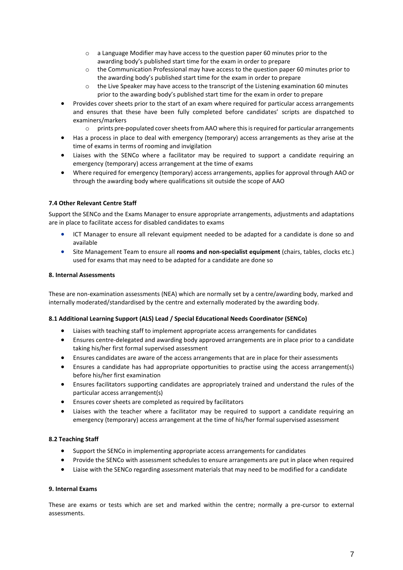- o a Language Modifier may have access to the question paper 60 minutes prior to the awarding body's published start time for the exam in order to prepare
- o the Communication Professional may have access to the question paper 60 minutes prior to the awarding body's published start time for the exam in order to prepare
- $\circ$  the Live Speaker may have access to the transcript of the Listening examination 60 minutes prior to the awarding body's published start time for the exam in order to prepare
- Provides cover sheets prior to the start of an exam where required for particular access arrangements and ensures that these have been fully completed before candidates' scripts are dispatched to examiners/markers
	- o prints pre-populated cover sheets from AAO where this is required for particular arrangements
- Has a process in place to deal with emergency (temporary) access arrangements as they arise at the time of exams in terms of rooming and invigilation
- Liaises with the SENCo where a facilitator may be required to support a candidate requiring an emergency (temporary) access arrangement at the time of exams
- Where required for emergency (temporary) access arrangements, applies for approval through AAO or through the awarding body where qualifications sit outside the scope of AAO

## **7.4 Other Relevant Centre Staff**

Support the SENCo and the Exams Manager to ensure appropriate arrangements, adjustments and adaptations are in place to facilitate access for disabled candidates to exams

- ICT Manager to ensure all relevant equipment needed to be adapted for a candidate is done so and available
- Site Management Team to ensure all **rooms and non-specialist equipment** (chairs, tables, clocks etc.) used for exams that may need to be adapted for a candidate are done so

## **8. Internal Assessments**

These are non-examination assessments (NEA) which are normally set by a centre/awarding body, marked and internally moderated/standardised by the centre and externally moderated by the awarding body.

## **8.1 Additional Learning Support (ALS) Lead / Special Educational Needs Coordinator (SENCo)**

- Liaises with teaching staff to implement appropriate access arrangements for candidates
- Ensures centre-delegated and awarding body approved arrangements are in place prior to a candidate taking his/her first formal supervised assessment
- Ensures candidates are aware of the access arrangements that are in place for their assessments
- Ensures a candidate has had appropriate opportunities to practise using the access arrangement(s) before his/her first examination
- Ensures facilitators supporting candidates are appropriately trained and understand the rules of the particular access arrangement(s)
- Ensures cover sheets are completed as required by facilitators
- Liaises with the teacher where a facilitator may be required to support a candidate requiring an emergency (temporary) access arrangement at the time of his/her formal supervised assessment

#### **8.2 Teaching Staff**

- Support the SENCo in implementing appropriate access arrangements for candidates
- Provide the SENCo with assessment schedules to ensure arrangements are put in place when required
- Liaise with the SENCo regarding assessment materials that may need to be modified for a candidate

#### **9. Internal Exams**

These are exams or tests which are set and marked within the centre; normally a pre-cursor to external assessments.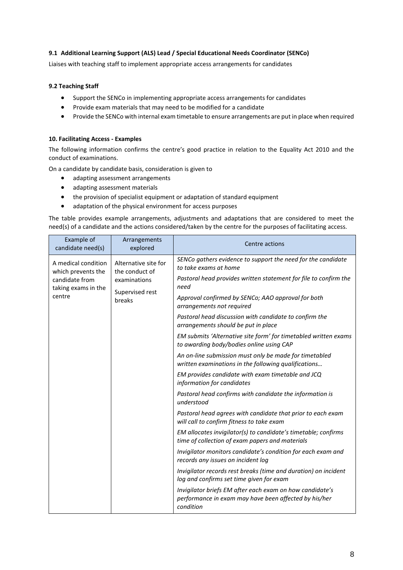# **9.1 Additional Learning Support (ALS) Lead / Special Educational Needs Coordinator (SENCo)**

Liaises with teaching staff to implement appropriate access arrangements for candidates

# **9.2 Teaching Staff**

- Support the SENCo in implementing appropriate access arrangements for candidates
- Provide exam materials that may need to be modified for a candidate
- Provide the SENCo with internal exam timetable to ensure arrangements are put in place when required

## **10. Facilitating Access - Examples**

The following information confirms the centre's good practice in relation to the Equality Act 2010 and the conduct of examinations.

On a candidate by candidate basis, consideration is given to

- adapting assessment arrangements
- adapting assessment materials
- the provision of specialist equipment or adaptation of standard equipment
- adaptation of the physical environment for access purposes

The table provides example arrangements, adjustments and adaptations that are considered to meet the need(s) of a candidate and the actions considered/taken by the centre for the purposes of facilitating access.

| Example of<br>candidate need(s)                                                                                                          | Arrangements<br>explored                | Centre actions                                                                                                                 |
|------------------------------------------------------------------------------------------------------------------------------------------|-----------------------------------------|--------------------------------------------------------------------------------------------------------------------------------|
| A medical condition<br>which prevents the<br>the conduct of<br>candidate from<br>examinations<br>taking exams in the<br>centre<br>breaks | Alternative site for<br>Supervised rest | SENCo gathers evidence to support the need for the candidate<br>to take exams at home                                          |
|                                                                                                                                          |                                         | Pastoral head provides written statement for file to confirm the<br>need                                                       |
|                                                                                                                                          |                                         | Approval confirmed by SENCo; AAO approval for both<br>arrangements not required                                                |
|                                                                                                                                          |                                         | Pastoral head discussion with candidate to confirm the<br>arrangements should be put in place                                  |
|                                                                                                                                          |                                         | EM submits 'Alternative site form' for timetabled written exams<br>to awarding body/bodies online using CAP                    |
|                                                                                                                                          |                                         | An on-line submission must only be made for timetabled<br>written examinations in the following qualifications                 |
|                                                                                                                                          |                                         | EM provides candidate with exam timetable and JCQ<br>information for candidates                                                |
|                                                                                                                                          |                                         | Pastoral head confirms with candidate the information is<br>understood                                                         |
|                                                                                                                                          |                                         | Pastoral head agrees with candidate that prior to each exam<br>will call to confirm fitness to take exam                       |
|                                                                                                                                          |                                         | EM allocates invigilator(s) to candidate's timetable; confirms<br>time of collection of exam papers and materials              |
|                                                                                                                                          |                                         | Invigilator monitors candidate's condition for each exam and<br>records any issues on incident log                             |
|                                                                                                                                          |                                         | Invigilator records rest breaks (time and duration) on incident<br>log and confirms set time given for exam                    |
|                                                                                                                                          |                                         | Invigilator briefs EM after each exam on how candidate's<br>performance in exam may have been affected by his/her<br>condition |